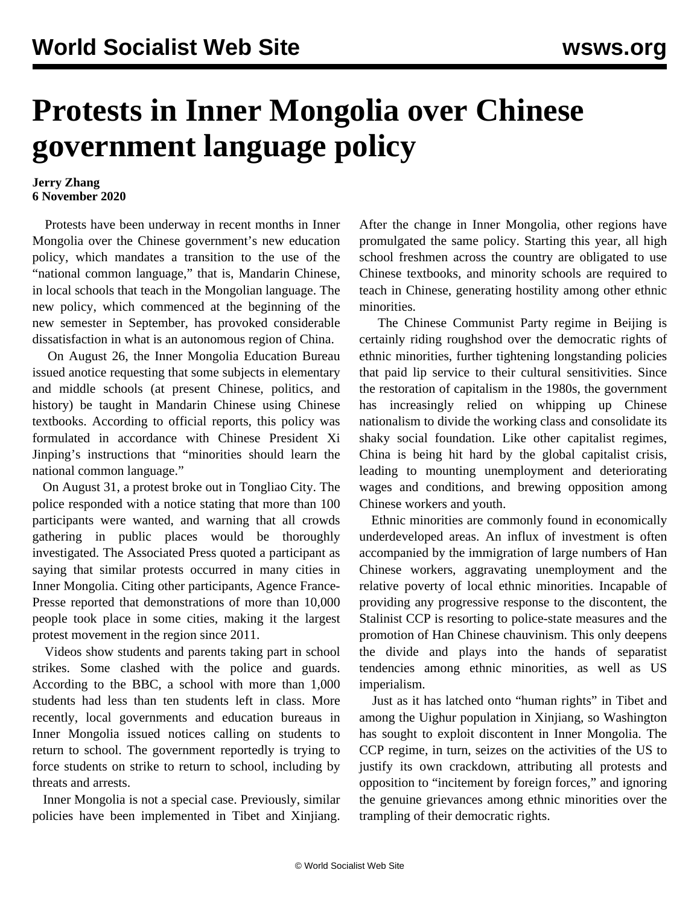## **Protests in Inner Mongolia over Chinese government language policy**

## **Jerry Zhang 6 November 2020**

 Protests have been underway in recent months in Inner Mongolia over the Chinese government's new education policy, which mandates a transition to the use of the "national common language," that is, Mandarin Chinese, in local schools that teach in the Mongolian language. The new policy, which commenced at the beginning of the new semester in September, has provoked considerable dissatisfaction in what is an autonomous region of China.

 On August 26, the Inner Mongolia Education Bureau issued anotice requesting that some subjects in elementary and middle schools (at present Chinese, politics, and history) be taught in Mandarin Chinese using Chinese textbooks. According to official reports, this policy was formulated in accordance with Chinese President Xi Jinping's instructions that "minorities should learn the national common language."

 On August 31, a protest broke out in Tongliao City. The police responded with a notice stating that more than 100 participants were wanted, and warning that all crowds gathering in public places would be thoroughly investigated. The Associated Press quoted a participant as saying that similar protests occurred in many cities in Inner Mongolia. Citing other participants, Agence France-Presse reported that demonstrations of more than 10,000 people took place in some cities, making it the largest protest movement in the region since 2011.

 Videos show students and parents taking part in school strikes. Some clashed with the police and guards. According to the BBC, a school with more than 1,000 students had less than ten students left in class. More recently, local governments and education bureaus in Inner Mongolia issued notices calling on students to return to school. The government reportedly is trying to force students on strike to return to school, including by threats and arrests.

 Inner Mongolia is not a special case. Previously, similar policies have been implemented in Tibet and Xinjiang.

After the change in Inner Mongolia, other regions have promulgated the same policy. Starting this year, all high school freshmen across the country are obligated to use Chinese textbooks, and minority schools are required to teach in Chinese, generating hostility among other ethnic minorities.

 The Chinese Communist Party regime in Beijing is certainly riding roughshod over the democratic rights of ethnic minorities, further tightening longstanding policies that paid lip service to their cultural sensitivities. Since the restoration of capitalism in the 1980s, the government has increasingly relied on whipping up Chinese nationalism to divide the working class and consolidate its shaky social foundation. Like other capitalist regimes, China is being hit hard by the global capitalist crisis, leading to mounting unemployment and deteriorating wages and conditions, and brewing opposition among Chinese workers and youth.

 Ethnic minorities are commonly found in economically underdeveloped areas. An influx of investment is often accompanied by the immigration of large numbers of Han Chinese workers, aggravating unemployment and the relative poverty of local ethnic minorities. Incapable of providing any progressive response to the discontent, the Stalinist CCP is resorting to police-state measures and the promotion of Han Chinese chauvinism. This only deepens the divide and plays into the hands of separatist tendencies among ethnic minorities, as well as US imperialism.

 Just as it has latched onto "human rights" in Tibet and among the Uighur population in Xinjiang, so Washington has sought to exploit discontent in Inner Mongolia. The CCP regime, in turn, seizes on the activities of the US to justify its own crackdown, attributing all protests and opposition to "incitement by foreign forces," and ignoring the genuine grievances among ethnic minorities over the trampling of their democratic rights.